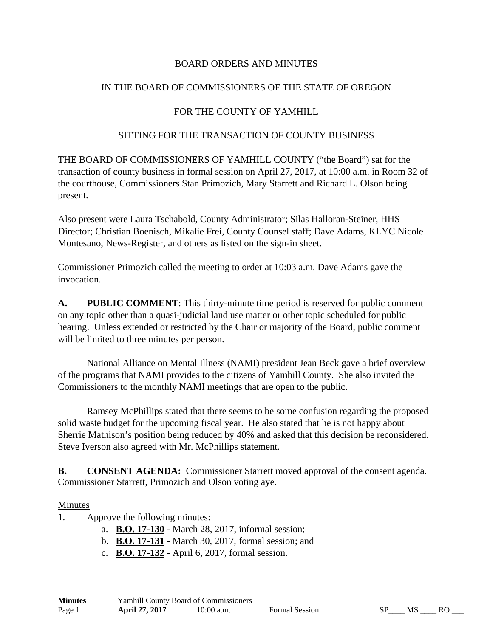### BOARD ORDERS AND MINUTES

### IN THE BOARD OF COMMISSIONERS OF THE STATE OF OREGON

### FOR THE COUNTY OF YAMHILL

### SITTING FOR THE TRANSACTION OF COUNTY BUSINESS

THE BOARD OF COMMISSIONERS OF YAMHILL COUNTY ("the Board") sat for the transaction of county business in formal session on April 27, 2017, at 10:00 a.m. in Room 32 of the courthouse, Commissioners Stan Primozich, Mary Starrett and Richard L. Olson being present.

Also present were Laura Tschabold, County Administrator; Silas Halloran-Steiner, HHS Director; Christian Boenisch, Mikalie Frei, County Counsel staff; Dave Adams, KLYC Nicole Montesano, News-Register, and others as listed on the sign-in sheet.

Commissioner Primozich called the meeting to order at 10:03 a.m. Dave Adams gave the invocation.

**A. PUBLIC COMMENT**: This thirty-minute time period is reserved for public comment on any topic other than a quasi-judicial land use matter or other topic scheduled for public hearing. Unless extended or restricted by the Chair or majority of the Board, public comment will be limited to three minutes per person.

 National Alliance on Mental Illness (NAMI) president Jean Beck gave a brief overview of the programs that NAMI provides to the citizens of Yamhill County. She also invited the Commissioners to the monthly NAMI meetings that are open to the public.

 Ramsey McPhillips stated that there seems to be some confusion regarding the proposed solid waste budget for the upcoming fiscal year. He also stated that he is not happy about Sherrie Mathison's position being reduced by 40% and asked that this decision be reconsidered. Steve Iverson also agreed with Mr. McPhillips statement.

**B. CONSENT AGENDA:** Commissioner Starrett moved approval of the consent agenda. Commissioner Starrett, Primozich and Olson voting aye.

#### Minutes

- 1. Approve the following minutes:
	- a. **B.O. 17-130** March 28, 2017, informal session;
	- b. **B.O. 17-131** March 30, 2017, formal session; and
	- c. **B.O. 17-132** April 6, 2017, formal session.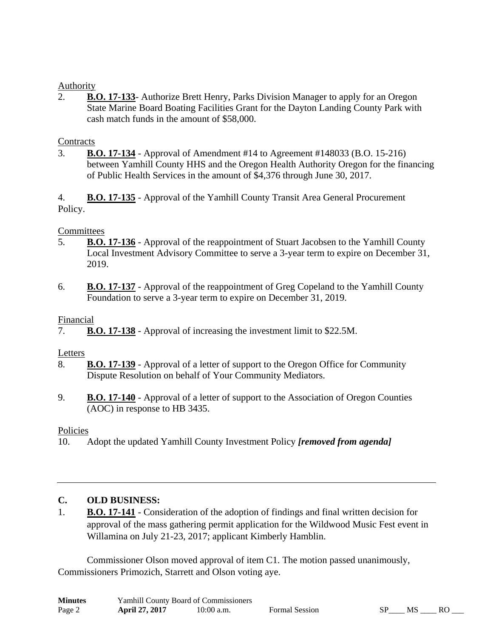### **Authority**

2. **B.O. 17-133**- Authorize Brett Henry, Parks Division Manager to apply for an Oregon State Marine Board Boating Facilities Grant for the Dayton Landing County Park with cash match funds in the amount of \$58,000.

### **Contracts**

3. **B.O. 17-134** - Approval of Amendment #14 to Agreement #148033 (B.O. 15-216) between Yamhill County HHS and the Oregon Health Authority Oregon for the financing of Public Health Services in the amount of \$4,376 through June 30, 2017.

4. **B.O. 17-135** - Approval of the Yamhill County Transit Area General Procurement Policy.

### **Committees**

- 5. **B.O. 17-136** Approval of the reappointment of Stuart Jacobsen to the Yamhill County Local Investment Advisory Committee to serve a 3-year term to expire on December 31, 2019.
- 6. **B.O. 17-137** Approval of the reappointment of Greg Copeland to the Yamhill County Foundation to serve a 3-year term to expire on December 31, 2019.

### Financial

7. **B.O. 17-138** - Approval of increasing the investment limit to \$22.5M.

# Letters

- 8. **B.O. 17-139** Approval of a letter of support to the Oregon Office for Community Dispute Resolution on behalf of Your Community Mediators.
- 9. **B.O. 17-140** Approval of a letter of support to the Association of Oregon Counties (AOC) in response to HB 3435.

# Policies

10. Adopt the updated Yamhill County Investment Policy *[removed from agenda]* 

# **C. OLD BUSINESS:**

1. **B.O. 17-141** - Consideration of the adoption of findings and final written decision for approval of the mass gathering permit application for the Wildwood Music Fest event in Willamina on July 21-23, 2017; applicant Kimberly Hamblin.

 Commissioner Olson moved approval of item C1. The motion passed unanimously, Commissioners Primozich, Starrett and Olson voting aye.